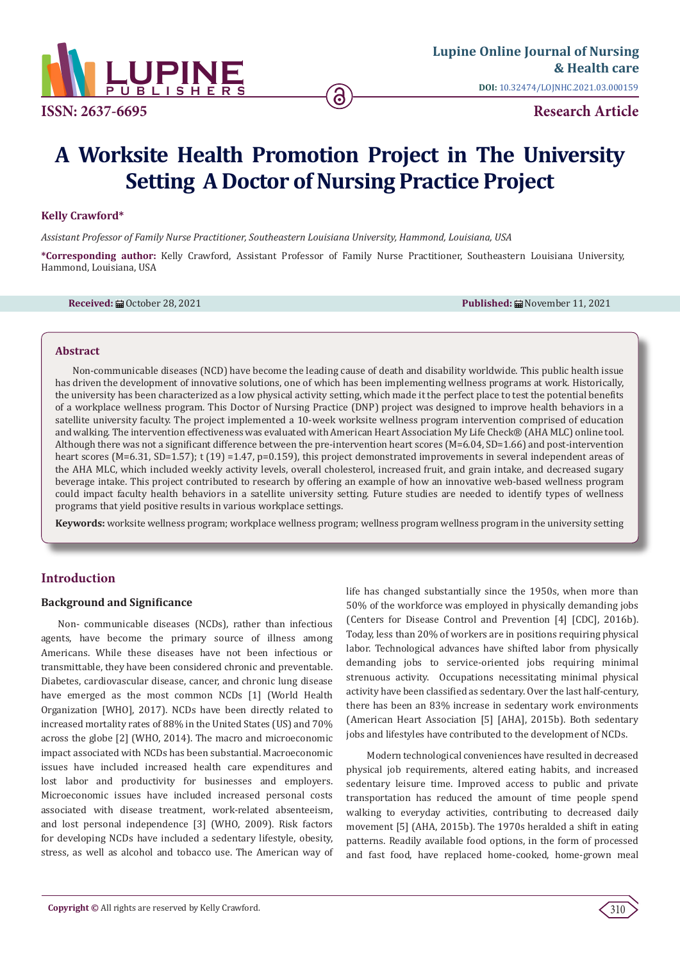

**ISSN: 2637-6695 Research Article**

# **A Worksite Health Promotion Project in The University Setting A Doctor of Nursing Practice Project**

#### **Kelly Crawford\***

*Assistant Professor of Family Nurse Practitioner, Southeastern Louisiana University, Hammond, Louisiana, USA*

**\*Corresponding author:** Kelly Crawford, Assistant Professor of Family Nurse Practitioner, Southeastern Louisiana University, Hammond, Louisiana, USA

**Received:** 扁 October 28, 2021 **Published: 扁 November 11, 2021** 

#### **Abstract**

Non-communicable diseases (NCD) have become the leading cause of death and disability worldwide. This public health issue has driven the development of innovative solutions, one of which has been implementing wellness programs at work. Historically, the university has been characterized as a low physical activity setting, which made it the perfect place to test the potential benefits of a workplace wellness program. This Doctor of Nursing Practice (DNP) project was designed to improve health behaviors in a satellite university faculty. The project implemented a 10-week worksite wellness program intervention comprised of education and walking. The intervention effectiveness was evaluated with American Heart Association My Life Check® (AHA MLC) online tool. Although there was not a significant difference between the pre-intervention heart scores (M=6.04, SD=1.66) and post-intervention heart scores (M=6.31, SD=1.57); t (19) =1.47, p=0.159), this project demonstrated improvements in several independent areas of the AHA MLC, which included weekly activity levels, overall cholesterol, increased fruit, and grain intake, and decreased sugary beverage intake. This project contributed to research by offering an example of how an innovative web-based wellness program could impact faculty health behaviors in a satellite university setting. Future studies are needed to identify types of wellness programs that yield positive results in various workplace settings.

**Keywords:** worksite wellness program; workplace wellness program; wellness program wellness program in the university setting

# **Introduction**

#### **Background and Significance**

Non- communicable diseases (NCDs), rather than infectious agents, have become the primary source of illness among Americans. While these diseases have not been infectious or transmittable, they have been considered chronic and preventable. Diabetes, cardiovascular disease, cancer, and chronic lung disease have emerged as the most common NCDs [1] (World Health Organization [WHO], 2017). NCDs have been directly related to increased mortality rates of 88% in the United States (US) and 70% across the globe [2] (WHO, 2014). The macro and microeconomic impact associated with NCDs has been substantial. Macroeconomic issues have included increased health care expenditures and lost labor and productivity for businesses and employers. Microeconomic issues have included increased personal costs associated with disease treatment, work-related absenteeism, and lost personal independence [3] (WHO, 2009). Risk factors for developing NCDs have included a sedentary lifestyle, obesity, stress, as well as alcohol and tobacco use. The American way of

life has changed substantially since the 1950s, when more than 50% of the workforce was employed in physically demanding jobs (Centers for Disease Control and Prevention [4] [CDC], 2016b). Today, less than 20% of workers are in positions requiring physical labor. Technological advances have shifted labor from physically demanding jobs to service-oriented jobs requiring minimal strenuous activity. Occupations necessitating minimal physical activity have been classified as sedentary. Over the last half-century, there has been an 83% increase in sedentary work environments (American Heart Association [5] [AHA], 2015b). Both sedentary jobs and lifestyles have contributed to the development of NCDs.

 Modern technological conveniences have resulted in decreased physical job requirements, altered eating habits, and increased sedentary leisure time. Improved access to public and private transportation has reduced the amount of time people spend walking to everyday activities, contributing to decreased daily movement [5] (AHA, 2015b). The 1970s heralded a shift in eating patterns. Readily available food options, in the form of processed and fast food, have replaced home-cooked, home-grown meal

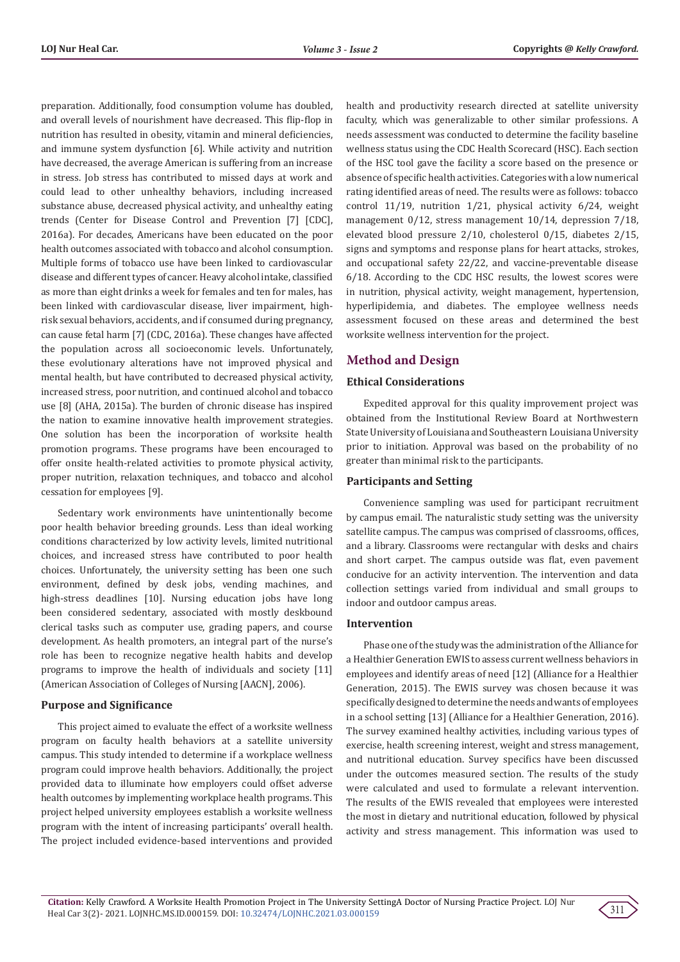preparation. Additionally, food consumption volume has doubled, and overall levels of nourishment have decreased. This flip-flop in nutrition has resulted in obesity, vitamin and mineral deficiencies, and immune system dysfunction [6]. While activity and nutrition have decreased, the average American is suffering from an increase in stress. Job stress has contributed to missed days at work and could lead to other unhealthy behaviors, including increased substance abuse, decreased physical activity, and unhealthy eating trends (Center for Disease Control and Prevention [7] [CDC], 2016a). For decades, Americans have been educated on the poor health outcomes associated with tobacco and alcohol consumption. Multiple forms of tobacco use have been linked to cardiovascular disease and different types of cancer. Heavy alcohol intake, classified as more than eight drinks a week for females and ten for males, has been linked with cardiovascular disease, liver impairment, highrisk sexual behaviors, accidents, and if consumed during pregnancy, can cause fetal harm [7] (CDC, 2016a). These changes have affected the population across all socioeconomic levels. Unfortunately, these evolutionary alterations have not improved physical and mental health, but have contributed to decreased physical activity, increased stress, poor nutrition, and continued alcohol and tobacco use [8] (AHA, 2015a). The burden of chronic disease has inspired the nation to examine innovative health improvement strategies. One solution has been the incorporation of worksite health promotion programs. These programs have been encouraged to offer onsite health-related activities to promote physical activity, proper nutrition, relaxation techniques, and tobacco and alcohol cessation for employees [9].

Sedentary work environments have unintentionally become poor health behavior breeding grounds. Less than ideal working conditions characterized by low activity levels, limited nutritional choices, and increased stress have contributed to poor health choices. Unfortunately, the university setting has been one such environment, defined by desk jobs, vending machines, and high-stress deadlines [10]. Nursing education jobs have long been considered sedentary, associated with mostly deskbound clerical tasks such as computer use, grading papers, and course development. As health promoters, an integral part of the nurse's role has been to recognize negative health habits and develop programs to improve the health of individuals and society [11] (American Association of Colleges of Nursing [AACN], 2006).

## **Purpose and Significance**

This project aimed to evaluate the effect of a worksite wellness program on faculty health behaviors at a satellite university campus. This study intended to determine if a workplace wellness program could improve health behaviors. Additionally, the project provided data to illuminate how employers could offset adverse health outcomes by implementing workplace health programs. This project helped university employees establish a worksite wellness program with the intent of increasing participants' overall health. The project included evidence-based interventions and provided

health and productivity research directed at satellite university faculty, which was generalizable to other similar professions. A needs assessment was conducted to determine the facility baseline wellness status using the CDC Health Scorecard (HSC). Each section of the HSC tool gave the facility a score based on the presence or absence of specific health activities. Categories with a low numerical rating identified areas of need. The results were as follows: tobacco control 11/19, nutrition 1/21, physical activity 6/24, weight management 0/12, stress management 10/14, depression 7/18, elevated blood pressure 2/10, cholesterol 0/15, diabetes 2/15, signs and symptoms and response plans for heart attacks, strokes, and occupational safety 22/22, and vaccine-preventable disease 6/18. According to the CDC HSC results, the lowest scores were in nutrition, physical activity, weight management, hypertension, hyperlipidemia, and diabetes. The employee wellness needs assessment focused on these areas and determined the best worksite wellness intervention for the project.

# **Method and Design**

# **Ethical Considerations**

Expedited approval for this quality improvement project was obtained from the Institutional Review Board at Northwestern State University of Louisiana and Southeastern Louisiana University prior to initiation. Approval was based on the probability of no greater than minimal risk to the participants.

# **Participants and Setting**

Convenience sampling was used for participant recruitment by campus email. The naturalistic study setting was the university satellite campus. The campus was comprised of classrooms, offices, and a library. Classrooms were rectangular with desks and chairs and short carpet. The campus outside was flat, even pavement conducive for an activity intervention. The intervention and data collection settings varied from individual and small groups to indoor and outdoor campus areas.

# **Intervention**

Phase one of the study was the administration of the Alliance for a Healthier Generation EWIS to assess current wellness behaviors in employees and identify areas of need [12] (Alliance for a Healthier Generation, 2015). The EWIS survey was chosen because it was specifically designed to determine the needs and wants of employees in a school setting [13] (Alliance for a Healthier Generation, 2016). The survey examined healthy activities, including various types of exercise, health screening interest, weight and stress management, and nutritional education. Survey specifics have been discussed under the outcomes measured section. The results of the study were calculated and used to formulate a relevant intervention. The results of the EWIS revealed that employees were interested the most in dietary and nutritional education, followed by physical activity and stress management. This information was used to

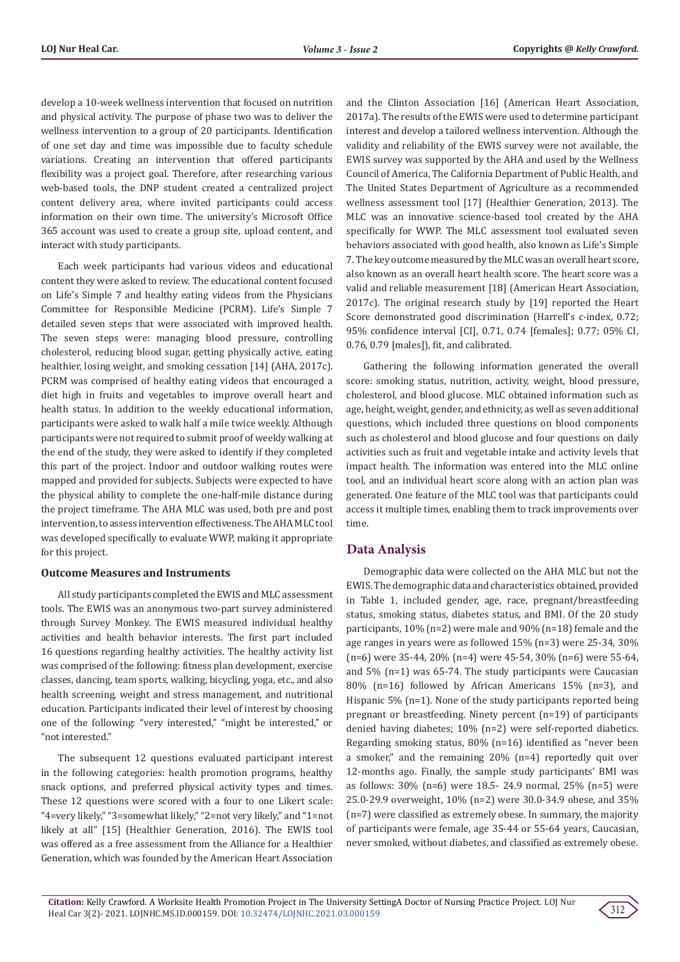develop a 10-week wellness intervention that focused on nutrition and physical activity. The purpose of phase two was to deliver the wellness intervention to a group of 20 participants. Identification of one set day and time was impossible due to faculty schedule variations. Creating an intervention that offered participants flexibility was a project goal. Therefore, after researching various web-based tools, the DNP student created a centralized project content delivery area, where invited participants could access information on their own time. The university's Microsoft Office 365 account was used to create a group site, upload content, and interact with study participants.

Each week participants had various videos and educational content they were asked to review. The educational content focused on Life's Simple 7 and healthy eating videos from the Physicians Committee for Responsible Medicine (PCRM). Life's Simple 7 detailed seven steps that were associated with improved health. The seven steps were: managing blood pressure, controlling cholesterol, reducing blood sugar, getting physically active, eating healthier, losing weight, and smoking cessation [14] (AHA, 2017c). PCRM was comprised of healthy eating videos that encouraged a diet high in fruits and vegetables to improve overall heart and health status. In addition to the weekly educational information, participants were asked to walk half a mile twice weekly. Although participants were not required to submit proof of weekly walking at the end of the study, they were asked to identify if they completed this part of the project. Indoor and outdoor walking routes were mapped and provided for subjects. Subjects were expected to have the physical ability to complete the one-half-mile distance during the project timeframe. The AHA MLC was used, both pre and post intervention, to assess intervention effectiveness. The AHA MLC tool was developed specifically to evaluate WWP, making it appropriate for this project.

#### **Outcome Measures and Instruments**

All study participants completed the EWIS and MLC assessment tools. The EWIS was an anonymous two-part survey administered through Survey Monkey. The EWIS measured individual healthy activities and health behavior interests. The first part included 16 questions regarding healthy activities. The healthy activity list was comprised of the following: fitness plan development, exercise classes, dancing, team sports, walking, bicycling, yoga, etc., and also health screening, weight and stress management, and nutritional education. Participants indicated their level of interest by choosing one of the following: "very interested," "might be interested," or "not interested."

The subsequent 12 questions evaluated participant interest in the following categories: health promotion programs, healthy snack options, and preferred physical activity types and times. These 12 questions were scored with a four to one Likert scale: "4=very likely," "3=somewhat likely," "2=not very likely," and "1=not likely at all" [15] (Healthier Generation, 2016). The EWIS tool was offered as a free assessment from the Alliance for a Healthier Generation, which was founded by the American Heart Association

and the Clinton Association [16] (American Heart Association, 2017a). The results of the EWIS were used to determine participant interest and develop a tailored wellness intervention. Although the validity and reliability of the EWIS survey were not available, the EWIS survey was supported by the AHA and used by the Wellness Council of America, The California Department of Public Health, and The United States Department of Agriculture as a recommended wellness assessment tool [17] (Healthier Generation, 2013). The MLC was an innovative science-based tool created by the AHA specifically for WWP. The MLC assessment tool evaluated seven behaviors associated with good health, also known as Life's Simple 7. The key outcome measured by the MLC was an overall heart score, also known as an overall heart health score. The heart score was a valid and reliable measurement [18] (American Heart Association, 2017c). The original research study by [19] reported the Heart Score demonstrated good discrimination (Harrell's c-index, 0.72; 95% confidence interval [CI], 0.71, 0.74 [females]; 0.77; 05% CI, 0.76, 0.79 [males]), fit, and calibrated.

Gathering the following information generated the overall score: smoking status, nutrition, activity, weight, blood pressure, cholesterol, and blood glucose. MLC obtained information such as age, height, weight, gender, and ethnicity, as well as seven additional questions, which included three questions on blood components such as cholesterol and blood glucose and four questions on daily activities such as fruit and vegetable intake and activity levels that impact health. The information was entered into the MLC online tool, and an individual heart score along with an action plan was generated. One feature of the MLC tool was that participants could access it multiple times, enabling them to track improvements over time.

## **Data Analysis**

Demographic data were collected on the AHA MLC but not the EWIS. The demographic data and characteristics obtained, provided in Table 1, included gender, age, race, pregnant/breastfeeding status, smoking status, diabetes status, and BMI. Of the 20 study participants, 10% (n=2) were male and 90% (n=18) female and the age ranges in years were as followed 15% (n=3) were 25-34, 30% (n=6) were 35-44, 20% (n=4) were 45-54, 30% (n=6) were 55-64, and 5% (n=1) was 65-74. The study participants were Caucasian 80% (n=16) followed by African Americans 15% (n=3), and Hispanic 5% (n=1). None of the study participants reported being pregnant or breastfeeding. Ninety percent (n=19) of participants denied having diabetes; 10% (n=2) were self-reported diabetics. Regarding smoking status, 80% (n=16) identified as "never been a smoker," and the remaining 20% (n=4) reportedly quit over 12-months ago. Finally, the sample study participants' BMI was as follows: 30% (n=6) were 18.5- 24.9 normal, 25% (n=5) were 25.0-29.9 overweight, 10% (n=2) were 30.0-34.9 obese, and 35% (n=7) were classified as extremely obese. In summary, the majority of participants were female, age 35-44 or 55-64 years, Caucasian, never smoked, without diabetes, and classified as extremely obese.

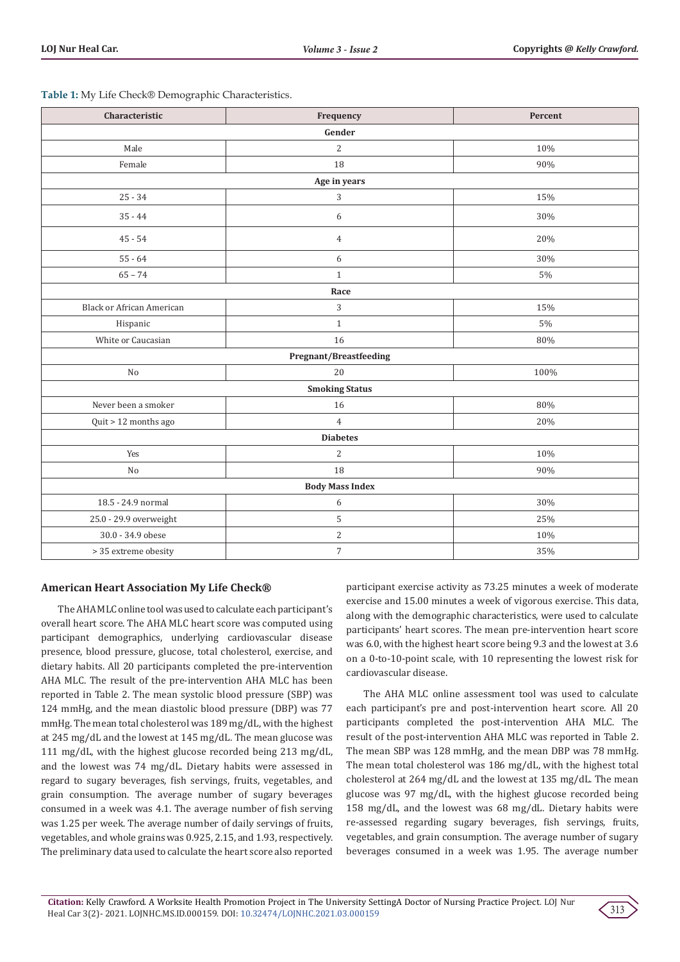| Characteristic                | Frequency      | Percent |  |  |  |
|-------------------------------|----------------|---------|--|--|--|
| Gender                        |                |         |  |  |  |
| Male                          | 2              | 10%     |  |  |  |
| Female                        | 18             | 90%     |  |  |  |
|                               | Age in years   |         |  |  |  |
| $25 - 34$                     | 3              | 15%     |  |  |  |
| $35 - 44$                     | 6              | 30%     |  |  |  |
| $45 - 54$                     | $\overline{4}$ | 20%     |  |  |  |
| $55 - 64$                     | 6              | 30%     |  |  |  |
| $65 - 74$                     | $\mathbf{1}$   | $5\%$   |  |  |  |
|                               | Race           |         |  |  |  |
| Black or African American     | 3              | 15%     |  |  |  |
| Hispanic                      | $\mathbf{1}$   | $5\%$   |  |  |  |
| White or Caucasian            | 16             | 80%     |  |  |  |
| <b>Pregnant/Breastfeeding</b> |                |         |  |  |  |
| No                            | 20             | 100%    |  |  |  |
| <b>Smoking Status</b>         |                |         |  |  |  |
| Never been a smoker           | 16             | 80%     |  |  |  |
| Quit > 12 months ago          | $\overline{4}$ | 20%     |  |  |  |
| <b>Diabetes</b>               |                |         |  |  |  |
| Yes                           | $\overline{2}$ | 10%     |  |  |  |
| No                            | 18             | 90%     |  |  |  |
| <b>Body Mass Index</b>        |                |         |  |  |  |
| 18.5 - 24.9 normal            | 6              | 30%     |  |  |  |
| 25.0 - 29.9 overweight        | 5              | 25%     |  |  |  |
| 30.0 - 34.9 obese             | $\overline{c}$ | 10%     |  |  |  |
| > 35 extreme obesity          | $\overline{7}$ | 35%     |  |  |  |

#### **Table 1:** My Life Check® Demographic Characteristics.

# **American Heart Association My Life Check®**

The AHA MLC online tool was used to calculate each participant's overall heart score. The AHA MLC heart score was computed using participant demographics, underlying cardiovascular disease presence, blood pressure, glucose, total cholesterol, exercise, and dietary habits. All 20 participants completed the pre-intervention AHA MLC. The result of the pre-intervention AHA MLC has been reported in Table 2. The mean systolic blood pressure (SBP) was 124 mmHg, and the mean diastolic blood pressure (DBP) was 77 mmHg. The mean total cholesterol was 189 mg/dL, with the highest at 245 mg/dL and the lowest at 145 mg/dL. The mean glucose was 111 mg/dL, with the highest glucose recorded being 213 mg/dL, and the lowest was 74 mg/dL. Dietary habits were assessed in regard to sugary beverages, fish servings, fruits, vegetables, and grain consumption. The average number of sugary beverages consumed in a week was 4.1. The average number of fish serving was 1.25 per week. The average number of daily servings of fruits, vegetables, and whole grains was 0.925, 2.15, and 1.93, respectively. The preliminary data used to calculate the heart score also reported

participant exercise activity as 73.25 minutes a week of moderate exercise and 15.00 minutes a week of vigorous exercise. This data, along with the demographic characteristics, were used to calculate participants' heart scores. The mean pre-intervention heart score was 6.0, with the highest heart score being 9.3 and the lowest at 3.6 on a 0-to-10-point scale, with 10 representing the lowest risk for cardiovascular disease.

The AHA MLC online assessment tool was used to calculate each participant's pre and post-intervention heart score. All 20 participants completed the post-intervention AHA MLC. The result of the post-intervention AHA MLC was reported in Table 2. The mean SBP was 128 mmHg, and the mean DBP was 78 mmHg. The mean total cholesterol was 186 mg/dL, with the highest total cholesterol at 264 mg/dL and the lowest at 135 mg/dL. The mean glucose was 97 mg/dL, with the highest glucose recorded being 158 mg/dL, and the lowest was 68 mg/dL. Dietary habits were re-assessed regarding sugary beverages, fish servings, fruits, vegetables, and grain consumption. The average number of sugary beverages consumed in a week was 1.95. The average number

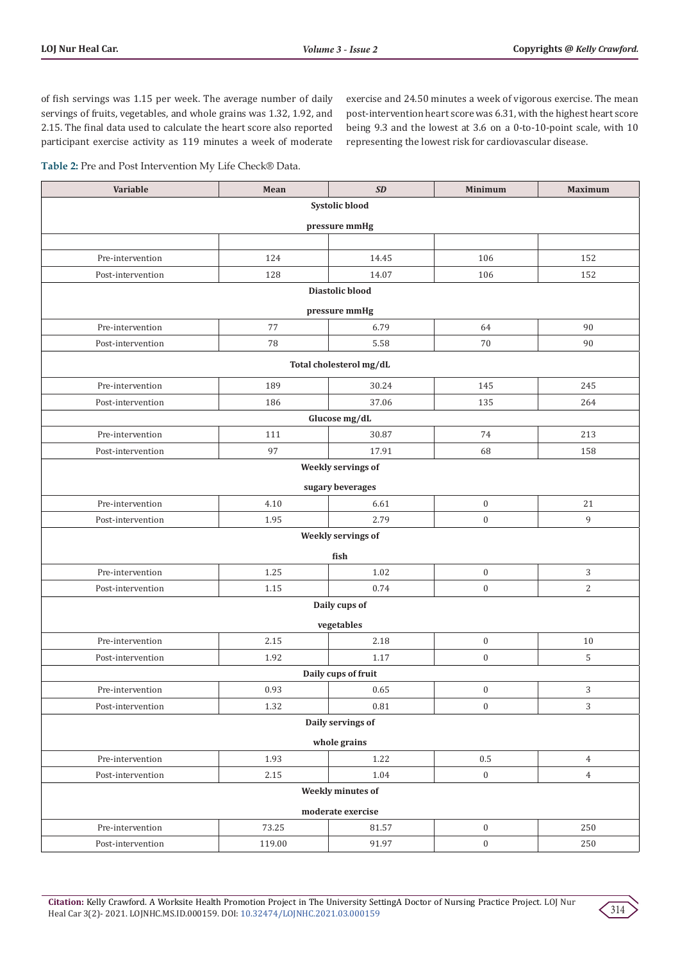of fish servings was 1.15 per week. The average number of daily servings of fruits, vegetables, and whole grains was 1.32, 1.92, and 2.15. The final data used to calculate the heart score also reported participant exercise activity as 119 minutes a week of moderate exercise and 24.50 minutes a week of vigorous exercise. The mean post-intervention heart score was 6.31, with the highest heart score being 9.3 and the lowest at 3.6 on a 0-to-10-point scale, with 10 representing the lowest risk for cardiovascular disease.

**Table 2:** Pre and Post Intervention My Life Check® Data.

| Variable            | Mean   | SD                      | <b>Minimum</b>   | <b>Maximum</b> |  |
|---------------------|--------|-------------------------|------------------|----------------|--|
| Systolic blood      |        |                         |                  |                |  |
| pressure mmHg       |        |                         |                  |                |  |
|                     |        |                         |                  |                |  |
| Pre-intervention    | 124    | 14.45                   | 106              | 152            |  |
| Post-intervention   | 128    | 14.07                   | 106              | 152            |  |
|                     |        | Diastolic blood         |                  |                |  |
|                     |        | pressure mmHg           |                  |                |  |
| Pre-intervention    | 77     | 6.79                    | 64               | 90             |  |
| Post-intervention   | 78     | 5.58                    | 70               | 90             |  |
|                     |        | Total cholesterol mg/dL |                  |                |  |
| Pre-intervention    | 189    | 30.24                   | 145              | 245            |  |
| Post-intervention   | 186    | 37.06                   | 135              | 264            |  |
|                     |        | Glucose mg/dL           |                  |                |  |
| Pre-intervention    | 111    | 30.87                   | 74               | 213            |  |
| Post-intervention   | 97     | 17.91                   | 68               | 158            |  |
|                     |        | Weekly servings of      |                  |                |  |
|                     |        | sugary beverages        |                  |                |  |
| Pre-intervention    | 4.10   | 6.61                    | $\boldsymbol{0}$ | 21             |  |
| Post-intervention   | 1.95   | 2.79                    | $\boldsymbol{0}$ | $\overline{9}$ |  |
|                     |        | Weekly servings of      |                  |                |  |
|                     |        | fish                    |                  |                |  |
| Pre-intervention    | 1.25   | 1.02                    | $\boldsymbol{0}$ | $\sqrt{3}$     |  |
| Post-intervention   | 1.15   | 0.74                    | $\boldsymbol{0}$ | $\overline{2}$ |  |
| Daily cups of       |        |                         |                  |                |  |
|                     |        | vegetables              |                  |                |  |
| Pre-intervention    | 2.15   | 2.18                    | $\boldsymbol{0}$ | 10             |  |
| Post-intervention   | 1.92   | 1.17                    | $\boldsymbol{0}$ | 5              |  |
| Daily cups of fruit |        |                         |                  |                |  |
| Pre-intervention    | 0.93   | 0.65                    | $\boldsymbol{0}$ | 3              |  |
| Post-intervention   | 1.32   | 0.81                    | $\boldsymbol{0}$ | $\mathbf{3}$   |  |
| Daily servings of   |        |                         |                  |                |  |
| whole grains        |        |                         |                  |                |  |
| Pre-intervention    | 1.93   | 1.22                    | $0.5\,$          | $\overline{4}$ |  |
| Post-intervention   | 2.15   | 1.04                    | $\boldsymbol{0}$ | $\overline{4}$ |  |
|                     |        | Weekly minutes of       |                  |                |  |
| moderate exercise   |        |                         |                  |                |  |
| Pre-intervention    | 73.25  | 81.57                   | $\boldsymbol{0}$ | 250            |  |
| Post-intervention   | 119.00 | 91.97                   | $\boldsymbol{0}$ | 250            |  |

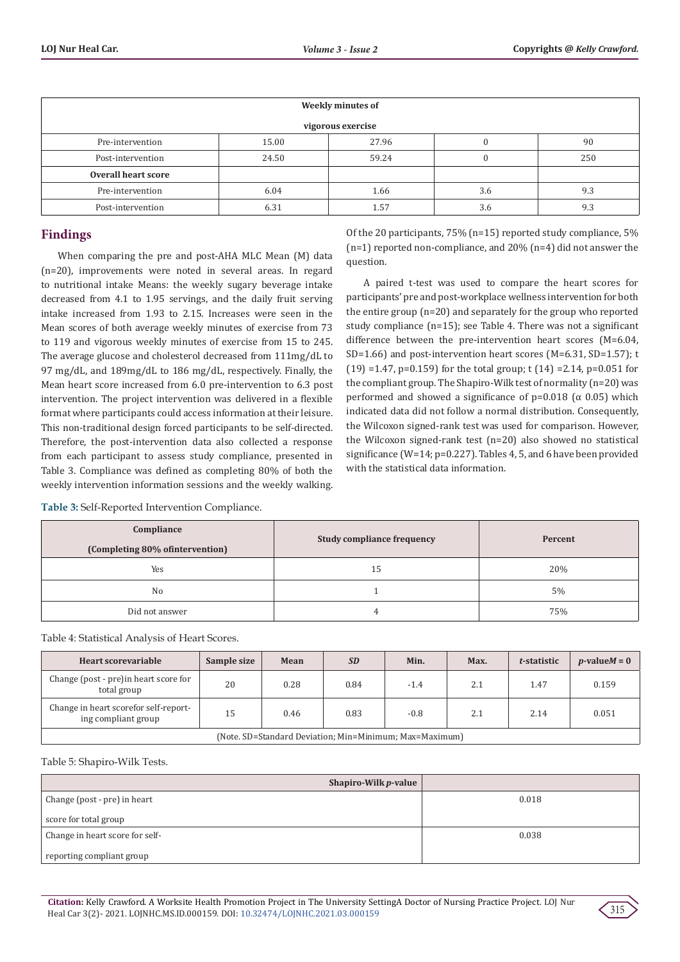| Weekly minutes of   |       |       |     |     |
|---------------------|-------|-------|-----|-----|
| vigorous exercise   |       |       |     |     |
| Pre-intervention    | 15.00 | 27.96 |     | 90  |
| Post-intervention   | 24.50 | 59.24 |     | 250 |
| Overall heart score |       |       |     |     |
| Pre-intervention    | 6.04  | 1.66  | 3.6 | 9.3 |
| Post-intervention   | 6.31  | 1.57  | 3.6 | 9.3 |

# **Findings**

When comparing the pre and post-AHA MLC Mean (M) data (n=20), improvements were noted in several areas. In regard to nutritional intake Means: the weekly sugary beverage intake decreased from 4.1 to 1.95 servings, and the daily fruit serving intake increased from 1.93 to 2.15. Increases were seen in the Mean scores of both average weekly minutes of exercise from 73 to 119 and vigorous weekly minutes of exercise from 15 to 245. The average glucose and cholesterol decreased from 111mg/dL to 97 mg/dL, and 189mg/dL to 186 mg/dL, respectively. Finally, the Mean heart score increased from 6.0 pre-intervention to 6.3 post intervention. The project intervention was delivered in a flexible format where participants could access information at their leisure. This non-traditional design forced participants to be self-directed. Therefore, the post-intervention data also collected a response from each participant to assess study compliance, presented in Table 3. Compliance was defined as completing 80% of both the weekly intervention information sessions and the weekly walking.

Of the 20 participants, 75% (n=15) reported study compliance, 5%  $(n=1)$  reported non-compliance, and 20%  $(n=4)$  did not answer the question.

A paired t-test was used to compare the heart scores for participants' pre and post-workplace wellness intervention for both the entire group (n=20) and separately for the group who reported study compliance (n=15); see Table 4. There was not a significant difference between the pre-intervention heart scores (M=6.04, SD=1.66) and post-intervention heart scores (M=6.31, SD=1.57); t (19) =1.47, p=0.159) for the total group; t (14) =2.14, p=0.051 for the compliant group. The Shapiro-Wilk test of normality (n=20) was performed and showed a significance of  $p=0.018$  ( $\alpha$  0.05) which indicated data did not follow a normal distribution. Consequently, the Wilcoxon signed-rank test was used for comparison. However, the Wilcoxon signed-rank test (n=20) also showed no statistical significance (W=14; p=0.227). Tables 4, 5, and 6 have been provided with the statistical data information.

| Compliance<br>(Completing 80% of intervention) | <b>Study compliance frequency</b> | Percent |
|------------------------------------------------|-----------------------------------|---------|
| Yes                                            | 15                                | 20%     |
| No                                             |                                   | 5%      |
| Did not answer                                 |                                   | 75%     |

Table 4: Statistical Analysis of Heart Scores.

**Table 3:** Self-Reported Intervention Compliance.

| Heart scorevariable                                          | Sample size | Mean | <b>SD</b> | Min.   | Max. | t-statistic | $p$ -value $M = 0$ |
|--------------------------------------------------------------|-------------|------|-----------|--------|------|-------------|--------------------|
| Change (post - pre) in heart score for<br>total group        | 20          | 0.28 | 0.84      | $-1.4$ | 2.1  | 1.47        | 0.159              |
| Change in heart scorefor self-report-<br>ing compliant group | 15          | 0.46 | 0.83      | $-0.8$ | 2.1  | 2.14        | 0.051              |
| (Note. SD=Standard Deviation; Min=Minimum; Max=Maximum)      |             |      |           |        |      |             |                    |

Table 5: Shapiro-Wilk Tests.

| Shapiro-Wilk $p$ -value         |       |
|---------------------------------|-------|
| Change (post - pre) in heart    | 0.018 |
| score for total group           |       |
| Change in heart score for self- | 0.038 |
| reporting compliant group       |       |

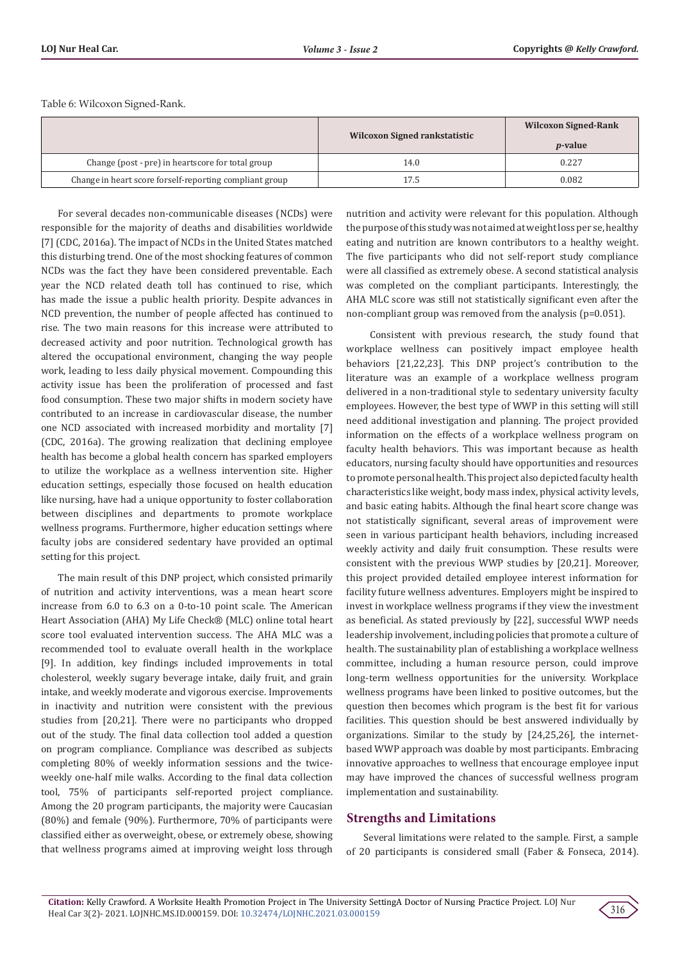Table 6: Wilcoxon Signed-Rank.

|                                                         | Wilcoxon Signed rankstatistic | <b>Wilcoxon Signed-Rank</b><br><i>p</i> -value |
|---------------------------------------------------------|-------------------------------|------------------------------------------------|
| Change (post - pre) in heartscore for total group       | 14.0                          | 0.227                                          |
| Change in heart score forself-reporting compliant group | 7.5                           | 0.082                                          |

For several decades non-communicable diseases (NCDs) were responsible for the majority of deaths and disabilities worldwide [7] (CDC, 2016a). The impact of NCDs in the United States matched this disturbing trend. One of the most shocking features of common NCDs was the fact they have been considered preventable. Each year the NCD related death toll has continued to rise, which has made the issue a public health priority. Despite advances in NCD prevention, the number of people affected has continued to rise. The two main reasons for this increase were attributed to decreased activity and poor nutrition. Technological growth has altered the occupational environment, changing the way people work, leading to less daily physical movement. Compounding this activity issue has been the proliferation of processed and fast food consumption. These two major shifts in modern society have contributed to an increase in cardiovascular disease, the number one NCD associated with increased morbidity and mortality [7] (CDC, 2016a). The growing realization that declining employee health has become a global health concern has sparked employers to utilize the workplace as a wellness intervention site. Higher education settings, especially those focused on health education like nursing, have had a unique opportunity to foster collaboration between disciplines and departments to promote workplace wellness programs. Furthermore, higher education settings where faculty jobs are considered sedentary have provided an optimal setting for this project.

The main result of this DNP project, which consisted primarily of nutrition and activity interventions, was a mean heart score increase from 6.0 to 6.3 on a 0-to-10 point scale. The American Heart Association (AHA) My Life Check® (MLC) online total heart score tool evaluated intervention success. The AHA MLC was a recommended tool to evaluate overall health in the workplace [9]. In addition, key findings included improvements in total cholesterol, weekly sugary beverage intake, daily fruit, and grain intake, and weekly moderate and vigorous exercise. Improvements in inactivity and nutrition were consistent with the previous studies from [20,21]. There were no participants who dropped out of the study. The final data collection tool added a question on program compliance. Compliance was described as subjects completing 80% of weekly information sessions and the twiceweekly one-half mile walks. According to the final data collection tool, 75% of participants self-reported project compliance. Among the 20 program participants, the majority were Caucasian (80%) and female (90%). Furthermore, 70% of participants were classified either as overweight, obese, or extremely obese, showing that wellness programs aimed at improving weight loss through

nutrition and activity were relevant for this population. Although the purpose of this study was not aimed at weight loss per se, healthy eating and nutrition are known contributors to a healthy weight. The five participants who did not self-report study compliance were all classified as extremely obese. A second statistical analysis was completed on the compliant participants. Interestingly, the AHA MLC score was still not statistically significant even after the non-compliant group was removed from the analysis (p=0.051).

 Consistent with previous research, the study found that workplace wellness can positively impact employee health behaviors [21,22,23]. This DNP project's contribution to the literature was an example of a workplace wellness program delivered in a non-traditional style to sedentary university faculty employees. However, the best type of WWP in this setting will still need additional investigation and planning. The project provided information on the effects of a workplace wellness program on faculty health behaviors. This was important because as health educators, nursing faculty should have opportunities and resources to promote personal health. This project also depicted faculty health characteristics like weight, body mass index, physical activity levels, and basic eating habits. Although the final heart score change was not statistically significant, several areas of improvement were seen in various participant health behaviors, including increased weekly activity and daily fruit consumption. These results were consistent with the previous WWP studies by [20,21]. Moreover, this project provided detailed employee interest information for facility future wellness adventures. Employers might be inspired to invest in workplace wellness programs if they view the investment as beneficial. As stated previously by [22], successful WWP needs leadership involvement, including policies that promote a culture of health. The sustainability plan of establishing a workplace wellness committee, including a human resource person, could improve long-term wellness opportunities for the university. Workplace wellness programs have been linked to positive outcomes, but the question then becomes which program is the best fit for various facilities. This question should be best answered individually by organizations. Similar to the study by [24,25,26], the internetbased WWP approach was doable by most participants. Embracing innovative approaches to wellness that encourage employee input may have improved the chances of successful wellness program implementation and sustainability.

# **Strengths and Limitations**

Several limitations were related to the sample. First, a sample of 20 participants is considered small (Faber & Fonseca, 2014).

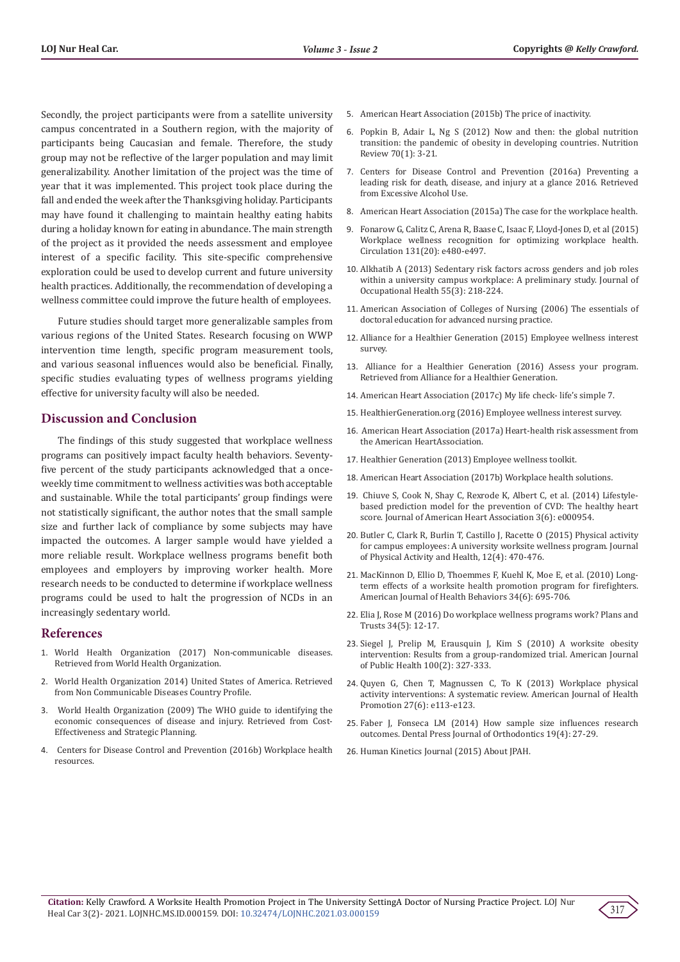Secondly, the project participants were from a satellite university campus concentrated in a Southern region, with the majority of participants being Caucasian and female. Therefore, the study group may not be reflective of the larger population and may limit generalizability. Another limitation of the project was the time of year that it was implemented. This project took place during the fall and ended the week after the Thanksgiving holiday. Participants may have found it challenging to maintain healthy eating habits during a holiday known for eating in abundance. The main strength of the project as it provided the needs assessment and employee interest of a specific facility. This site-specific comprehensive exploration could be used to develop current and future university health practices. Additionally, the recommendation of developing a wellness committee could improve the future health of employees.

Future studies should target more generalizable samples from various regions of the United States. Research focusing on WWP intervention time length, specific program measurement tools, and various seasonal influences would also be beneficial. Finally, specific studies evaluating types of wellness programs yielding effective for university faculty will also be needed.

## **Discussion and Conclusion**

The findings of this study suggested that workplace wellness programs can positively impact faculty health behaviors. Seventyfive percent of the study participants acknowledged that a onceweekly time commitment to wellness activities was both acceptable and sustainable. While the total participants' group findings were not statistically significant, the author notes that the small sample size and further lack of compliance by some subjects may have impacted the outcomes. A larger sample would have yielded a more reliable result. Workplace wellness programs benefit both employees and employers by improving worker health. More research needs to be conducted to determine if workplace wellness programs could be used to halt the progression of NCDs in an increasingly sedentary world.

## **References**

- 1. [World Health Organization \(2017\) Non-communicable diseases.](http://www.who.int/mediacentre/factsheets/fs355/en)  [Retrieved from World Health Organization.](http://www.who.int/mediacentre/factsheets/fs355/en)
- 2. [World Health Organization 2014\) United States of America. Retrieved](http://www.who.int/nmh/countries/usa_en.pdf)  [from Non Communicable Diseases Country Profile.](http://www.who.int/nmh/countries/usa_en.pdf)
- 3. [World Health Organization \(2009\) The WHO guide to identifying the](http://www.who.int/choice/economicburden/en/)  [economic consequences of disease and injury. Retrieved from Cost-](http://www.who.int/choice/economicburden/en/)[Effectiveness and Strategic Planning.](http://www.who.int/choice/economicburden/en/)
- 4. [Centers for Disease Control and Prevention \(2016b\) Workplace health](file:///E:/NEW%20DATA/PDFS/11-11-2021/LOJNHC.MS.ID.000159/LOJNHC-21-RA-165/1.%09https:/www.cdc.gov/workplacehealthpromotion/tools-%09resources/workplace-health/index.html)  [resources.](file:///E:/NEW%20DATA/PDFS/11-11-2021/LOJNHC.MS.ID.000159/LOJNHC-21-RA-165/1.%09https:/www.cdc.gov/workplacehealthpromotion/tools-%09resources/workplace-health/index.html)
- 5. [American Heart Association \(2015b\) The price of inactivity.](http://www.heart.org/HEARTORG/HealthyLiving/PhysicalActivity/FitnessBasics/The-Price-of-Inactivity_UCM_307974_Article.js)
- 6. [Popkin B, Adair L, Ng S \(2012\) Now and then: the global nutrition](https://www.ncbi.nlm.nih.gov/labs/pmc/articles/PMC3257829/) [transition: the pandemic of obesity in developing countries. Nutrition](https://www.ncbi.nlm.nih.gov/labs/pmc/articles/PMC3257829/) [Review 70\(1\): 3-21.](https://www.ncbi.nlm.nih.gov/labs/pmc/articles/PMC3257829/)
- 7. [Centers for Disease Control and Prevention \(2016a\) Preventing a](https://www.cdc.gov/chronicdisease/resources/publications/aag/alcohol.htm) [leading risk for death, disease, and injury at a glance 2016. Retrieved](https://www.cdc.gov/chronicdisease/resources/publications/aag/alcohol.htm) [from Excessive Alcohol Use.](https://www.cdc.gov/chronicdisease/resources/publications/aag/alcohol.htm)
- 8. [American Heart Association \(2015a\) The case for the workplace health.](https://playbook.heart.org/index.php/the-case-for-workplace-health-2/)
- 9. [Fonarow G, Calitz C, Arena R, Baase C, Isaac F, Lloyd-Jones D, et al \(2015\)](https://www.ahajournals.org/doi/full/10.1161/CIR.0000000000000206) [Workplace wellness recognition for optimizing workplace health.](https://www.ahajournals.org/doi/full/10.1161/CIR.0000000000000206) [Circulation 131\(20\): e480-e497.](https://www.ahajournals.org/doi/full/10.1161/CIR.0000000000000206)
- 10. [Alkhatib A \(2013\) Sedentary risk factors across genders and job roles](https://pubmed.ncbi.nlm.nih.gov/23485570/) [within a university campus workplace: A preliminary study. Journal of](https://pubmed.ncbi.nlm.nih.gov/23485570/) [Occupational Health 55\(3\): 218-224.](https://pubmed.ncbi.nlm.nih.gov/23485570/)
- 11. [American Association of Colleges of Nursing \(2006\) The essentials of](C://Users/Robert/Downloads/DNP%20Essentials(1).pdf) [doctoral education for advanced nursing practice](C://Users/Robert/Downloads/DNP%20Essentials(1).pdf).
- 12. [Alliance for a Healthier Generation \(2015\) Employee wellness interest](https://www.healthiergeneration.org/_asset/74qhor/07-165_EWInterestSurvey.pdf) [survey.](https://www.healthiergeneration.org/_asset/74qhor/07-165_EWInterestSurvey.pdf)
- 13. [Alliance for a Healthier Generation \(2016\) Assess your program.](https://www.healthiergeneration.org/take_action/schools/employee_wellness/employee_activities/) [Retrieved from Alliance for a Healthier Generation.](https://www.healthiergeneration.org/take_action/schools/employee_wellness/employee_activities/)
- 14. American Heart Association (2017c) My life check- life's simple 7.
- 15. [HealthierGeneration.org \(2016\) Employee wellness interest survey.](https://www.healthiergeneration.org/_asset/74qhor/07-165_EWInterestSurvey.pdf)
- 16. American Heart Association (2017a) Heart-health risk assessment from the American HeartAssociation.
- 17. [Healthier Generation \(2013\) Employee wellness toolkit.](http://c.ymcdn.com/sites/www.co-case.org/resource/resmgr/imported/GUID_Alliance%20Healthy%20Employee%20Toolkit.pdf)
- 18. [American Heart Association \(2017b\) Workplace health solutions](https://www.heart.org/idc/groups/heart-public/@wcm/@fc/documents/downloadable/ucm_481090.pdf)*.*
- 19. [Chiuve S, Cook N, Shay C, Rexrode K, Albert C, et al. \(2014\) Lifestyle](https://www.ncbi.nlm.nih.gov/labs/pmc/articles/PMC4338684/)[based prediction model for the prevention of CVD: The healthy heart](https://www.ncbi.nlm.nih.gov/labs/pmc/articles/PMC4338684/) [score. Journal of American Heart Association 3\(6\): e000954.](https://www.ncbi.nlm.nih.gov/labs/pmc/articles/PMC4338684/)
- 20. [Butler C, Clark R, Burlin T, Castillo J, Racette O \(2015\) Physical activity](https://pubmed.ncbi.nlm.nih.gov/24905703/) [for campus employees: A university worksite wellness program. Journal](https://pubmed.ncbi.nlm.nih.gov/24905703/) [of Physical Activity and Health, 12\(4\): 470-476.](https://pubmed.ncbi.nlm.nih.gov/24905703/)
- 21. [MacKinnon D, Ellio D, Thoemmes F, Kuehl K, Moe E, et al. \(2010\) Long](https://pubmed.ncbi.nlm.nih.gov/20604695/)[term effects of a worksite health promotion program for firefighters.](https://pubmed.ncbi.nlm.nih.gov/20604695/) [American Journal of Health Behaviors 34\(6\): 695-706.](https://pubmed.ncbi.nlm.nih.gov/20604695/)
- 22. Elia J, Rose M (2016) Do workplace wellness programs work? Plans and Trusts 34(5): 12-17.
- 23. [Siegel J, Prelip M, Erausquin J, Kim S \(2010\) A worksite obesity](https://www.ncbi.nlm.nih.gov/labs/pmc/articles/PMC2804632/) [intervention: Results from a group-randomized trial. American Journal](https://www.ncbi.nlm.nih.gov/labs/pmc/articles/PMC2804632/) [of Public Health 100\(2\): 327-333.](https://www.ncbi.nlm.nih.gov/labs/pmc/articles/PMC2804632/)
- 24. [Quyen G, Chen T, Magnussen C, To K \(2013\) Workplace physical](https://pubmed.ncbi.nlm.nih.gov/23631453/) [activity interventions: A systematic review. American Journal of Health](https://pubmed.ncbi.nlm.nih.gov/23631453/) [Promotion 27\(6\): e113-e123.](https://pubmed.ncbi.nlm.nih.gov/23631453/)
- 25. [Faber J, Fonseca LM \(2014\) How sample size influences research](https://www.ncbi.nlm.nih.gov/labs/pmc/articles/PMC4296634/) outcomes. Dental Press [Journal of Orthodontics](https://www.ncbi.nlm.nih.gov/labs/pmc/articles/PMC4296634/) 19(4): 27-29.
- 26. [Human Kinetics Journal \(2015\) About JPAH.](https://journals.humankinetics.com/page/about/jpah)